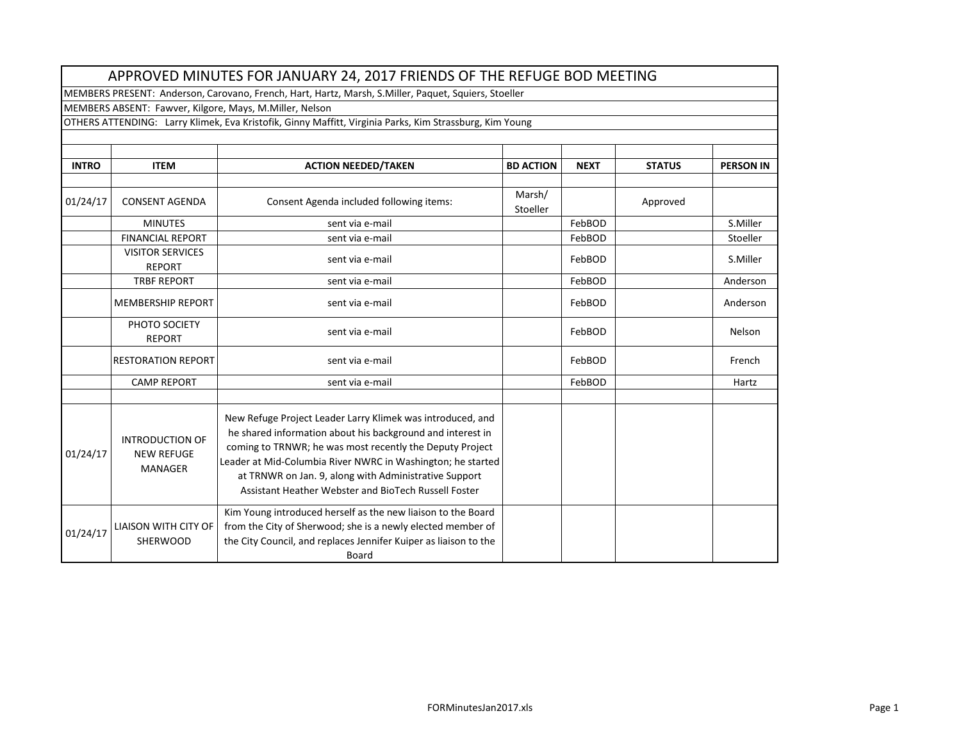|              |                                                               | APPROVED MINUTES FOR JANUARY 24, 2017 FRIENDS OF THE REFUGE BOD MEETING                                                                                                                                                                                                                                                                                              |                    |             |               |                  |
|--------------|---------------------------------------------------------------|----------------------------------------------------------------------------------------------------------------------------------------------------------------------------------------------------------------------------------------------------------------------------------------------------------------------------------------------------------------------|--------------------|-------------|---------------|------------------|
|              |                                                               | MEMBERS PRESENT: Anderson, Carovano, French, Hart, Hartz, Marsh, S.Miller, Paquet, Squiers, Stoeller                                                                                                                                                                                                                                                                 |                    |             |               |                  |
|              |                                                               | MEMBERS ABSENT: Fawver, Kilgore, Mays, M.Miller, Nelson                                                                                                                                                                                                                                                                                                              |                    |             |               |                  |
|              |                                                               | OTHERS ATTENDING: Larry Klimek, Eva Kristofik, Ginny Maffitt, Virginia Parks, Kim Strassburg, Kim Young                                                                                                                                                                                                                                                              |                    |             |               |                  |
|              |                                                               |                                                                                                                                                                                                                                                                                                                                                                      |                    |             |               |                  |
|              |                                                               |                                                                                                                                                                                                                                                                                                                                                                      |                    |             |               |                  |
| <b>INTRO</b> | <b>ITEM</b>                                                   | <b>ACTION NEEDED/TAKEN</b>                                                                                                                                                                                                                                                                                                                                           | <b>BD ACTION</b>   | <b>NEXT</b> | <b>STATUS</b> | <b>PERSON IN</b> |
| 01/24/17     | <b>CONSENT AGENDA</b>                                         | Consent Agenda included following items:                                                                                                                                                                                                                                                                                                                             | Marsh/<br>Stoeller |             | Approved      |                  |
|              | <b>MINUTES</b>                                                | sent via e-mail                                                                                                                                                                                                                                                                                                                                                      |                    | FebBOD      |               | S.Miller         |
|              | <b>FINANCIAL REPORT</b>                                       | sent via e-mail                                                                                                                                                                                                                                                                                                                                                      |                    | FebBOD      |               | Stoeller         |
|              | <b>VISITOR SERVICES</b><br><b>REPORT</b>                      | sent via e-mail                                                                                                                                                                                                                                                                                                                                                      |                    | FebBOD      |               | S.Miller         |
|              | <b>TRBF REPORT</b>                                            | sent via e-mail                                                                                                                                                                                                                                                                                                                                                      |                    | FebBOD      |               | Anderson         |
|              | <b>MEMBERSHIP REPORT</b>                                      | sent via e-mail                                                                                                                                                                                                                                                                                                                                                      |                    | FebBOD      |               | Anderson         |
|              | PHOTO SOCIETY<br><b>REPORT</b>                                | sent via e-mail                                                                                                                                                                                                                                                                                                                                                      |                    | FebBOD      |               | Nelson           |
|              | <b>RESTORATION REPORT</b>                                     | sent via e-mail                                                                                                                                                                                                                                                                                                                                                      |                    | FebBOD      |               | French           |
|              | <b>CAMP REPORT</b>                                            | sent via e-mail                                                                                                                                                                                                                                                                                                                                                      |                    | FebBOD      |               | Hartz            |
| 01/24/17     | <b>INTRODUCTION OF</b><br><b>NEW REFUGE</b><br><b>MANAGER</b> | New Refuge Project Leader Larry Klimek was introduced, and<br>he shared information about his background and interest in<br>coming to TRNWR; he was most recently the Deputy Project<br>Leader at Mid-Columbia River NWRC in Washington; he started<br>at TRNWR on Jan. 9, along with Administrative Support<br>Assistant Heather Webster and BioTech Russell Foster |                    |             |               |                  |
| 01/24/17     | <b>LIAISON WITH CITY OF</b><br><b>SHERWOOD</b>                | Kim Young introduced herself as the new liaison to the Board<br>from the City of Sherwood; she is a newly elected member of<br>the City Council, and replaces Jennifer Kuiper as liaison to the<br>Board                                                                                                                                                             |                    |             |               |                  |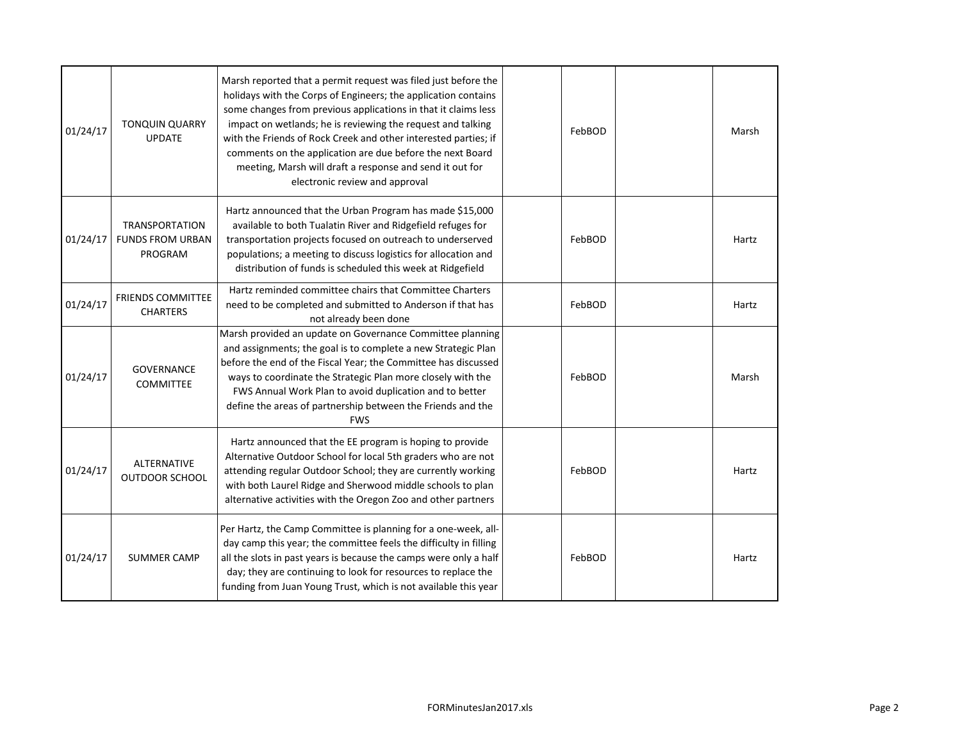| 01/24/17 | <b>TONQUIN QUARRY</b><br><b>UPDATE</b>                      | Marsh reported that a permit request was filed just before the<br>holidays with the Corps of Engineers; the application contains<br>some changes from previous applications in that it claims less<br>impact on wetlands; he is reviewing the request and talking<br>with the Friends of Rock Creek and other interested parties; if<br>comments on the application are due before the next Board<br>meeting, Marsh will draft a response and send it out for<br>electronic review and approval | FebBOD | Marsh |
|----------|-------------------------------------------------------------|-------------------------------------------------------------------------------------------------------------------------------------------------------------------------------------------------------------------------------------------------------------------------------------------------------------------------------------------------------------------------------------------------------------------------------------------------------------------------------------------------|--------|-------|
| 01/24/17 | <b>TRANSPORTATION</b><br><b>FUNDS FROM URBAN</b><br>PROGRAM | Hartz announced that the Urban Program has made \$15,000<br>available to both Tualatin River and Ridgefield refuges for<br>transportation projects focused on outreach to underserved<br>populations; a meeting to discuss logistics for allocation and<br>distribution of funds is scheduled this week at Ridgefield                                                                                                                                                                           | FebBOD | Hartz |
| 01/24/17 | <b>FRIENDS COMMITTEE</b><br><b>CHARTERS</b>                 | Hartz reminded committee chairs that Committee Charters<br>need to be completed and submitted to Anderson if that has<br>not already been done                                                                                                                                                                                                                                                                                                                                                  | FebBOD | Hartz |
| 01/24/17 | <b>GOVERNANCE</b><br><b>COMMITTEE</b>                       | Marsh provided an update on Governance Committee planning<br>and assignments; the goal is to complete a new Strategic Plan<br>before the end of the Fiscal Year; the Committee has discussed<br>ways to coordinate the Strategic Plan more closely with the<br>FWS Annual Work Plan to avoid duplication and to better<br>define the areas of partnership between the Friends and the<br><b>FWS</b>                                                                                             | FebBOD | Marsh |
| 01/24/17 | <b>ALTERNATIVE</b><br><b>OUTDOOR SCHOOL</b>                 | Hartz announced that the EE program is hoping to provide<br>Alternative Outdoor School for local 5th graders who are not<br>attending regular Outdoor School; they are currently working<br>with both Laurel Ridge and Sherwood middle schools to plan<br>alternative activities with the Oregon Zoo and other partners                                                                                                                                                                         | FebBOD | Hartz |
| 01/24/17 | <b>SUMMER CAMP</b>                                          | Per Hartz, the Camp Committee is planning for a one-week, all-<br>day camp this year; the committee feels the difficulty in filling<br>all the slots in past years is because the camps were only a half<br>day; they are continuing to look for resources to replace the<br>funding from Juan Young Trust, which is not available this year                                                                                                                                                    | FebBOD | Hartz |